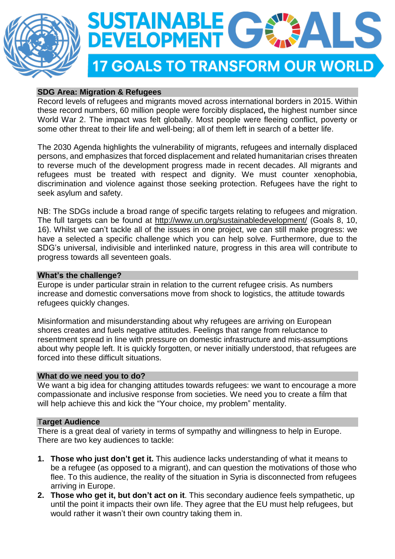



# **SDG Area: Migration & Refugees**

Record levels of refugees and migrants moved across international borders in 2015. Within these record numbers, 60 million people were forcibly displaced**,** the highest number since World War 2. The impact was felt globally. Most people were fleeing conflict, poverty or some other threat to their life and well-being; all of them left in search of a better life.

The 2030 Agenda highlights the vulnerability of migrants, refugees and internally displaced persons, and emphasizes that forced displacement and related humanitarian crises threaten to reverse much of the development progress made in recent decades. All migrants and refugees must be treated with respect and dignity. We must counter xenophobia, discrimination and violence against those seeking protection. Refugees have the right to seek asylum and safety.

NB: The SDGs include a broad range of specific targets relating to refugees and migration. The full targets can be found at <http://www.un.org/sustainabledevelopment/> (Goals 8, 10, 16). Whilst we can't tackle all of the issues in one project, we can still make progress: we have a selected a specific challenge which you can help solve. Furthermore, due to the SDG's universal, indivisible and interlinked nature, progress in this area will contribute to progress towards all seventeen goals.

## **What's the challenge?**

Europe is under particular strain in relation to the current refugee crisis. As numbers increase and domestic conversations move from shock to logistics, the attitude towards refugees quickly changes.

Misinformation and misunderstanding about why refugees are arriving on European shores creates and fuels negative attitudes. Feelings that range from reluctance to resentment spread in line with pressure on domestic infrastructure and mis-assumptions about why people left. It is quickly forgotten, or never initially understood, that refugees are forced into these difficult situations.

#### **What do we need you to do?**

We want a big idea for changing attitudes towards refugees: we want to encourage a more compassionate and inclusive response from societies. We need you to create a film that will help achieve this and kick the "Your choice, my problem" mentality.

### T**arget Audience**

There is a great deal of variety in terms of sympathy and willingness to help in Europe. There are two key audiences to tackle:

- **1. Those who just don't get it.** This audience lacks understanding of what it means to be a refugee (as opposed to a migrant), and can question the motivations of those who flee. To this audience, the reality of the situation in Syria is disconnected from refugees arriving in Europe.
- **2. Those who get it, but don't act on it**. This secondary audience feels sympathetic, up until the point it impacts their own life. They agree that the EU must help refugees, but would rather it wasn't their own country taking them in.